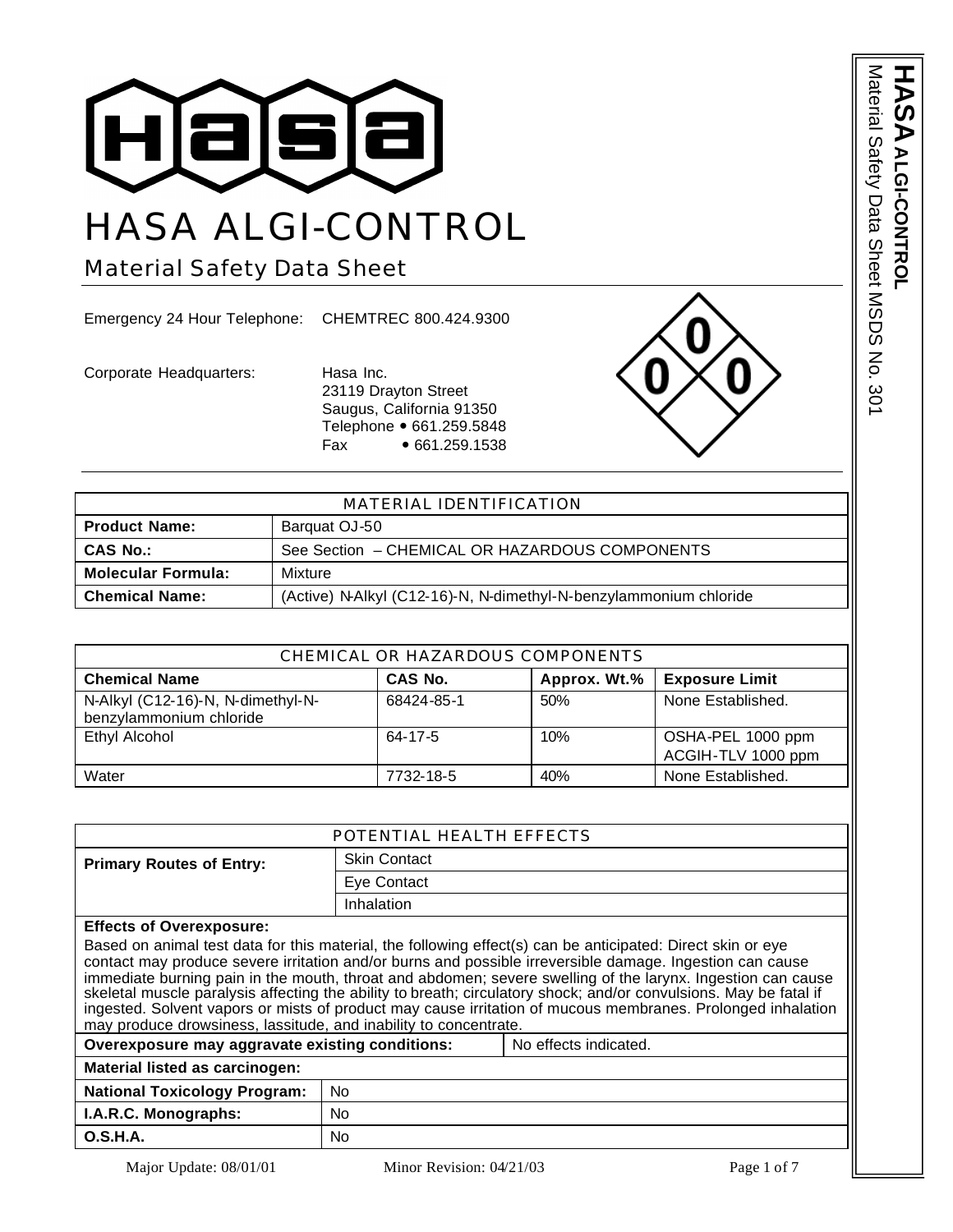

# HASA ALGI-CONTROL

Material Safety Data Sheet

Emergency 24 Hour Telephone: CHEMTREC 800.424.9300

Corporate Headquarters: Hasa Inc.

23119 Drayton Street Saugus, California 91350 Telephone • 661.259.5848 Fax • 661.259.1538



| MATERIAL IDENTIFICATION              |                                                                   |  |
|--------------------------------------|-------------------------------------------------------------------|--|
| <b>Product Name:</b>                 | Barquat OJ-50                                                     |  |
| <b>CAS No.:</b>                      | See Section - CHEMICAL OR HAZARDOUS COMPONENTS                    |  |
| <b>Molecular Formula:</b><br>Mixture |                                                                   |  |
| <b>Chemical Name:</b>                | (Active) N-Alkyl (C12-16)-N, N-dimethyl-N-benzylammonium chloride |  |

| CHEMICAL OR HAZARDOUS COMPONENTS                             |            |              |                                         |
|--------------------------------------------------------------|------------|--------------|-----------------------------------------|
| <b>Chemical Name</b>                                         | CAS No.    | Approx. Wt.% | <b>Exposure Limit</b>                   |
| N-Alkyl (C12-16)-N, N-dimethyl-N-<br>benzylammonium chloride | 68424-85-1 | 50%          | None Established.                       |
| <b>Ethyl Alcohol</b>                                         | 64-17-5    | 10%          | OSHA-PEL 1000 ppm<br>ACGIH-TLV 1000 ppm |
| Water                                                        | 7732-18-5  | 40%          | None Established.                       |

| POTENTIAL HEALTH EFFECTS                                                                                                                                                                                                                                                                                                                                                                                                                                                                                                                                                                                                                       |                     |  |
|------------------------------------------------------------------------------------------------------------------------------------------------------------------------------------------------------------------------------------------------------------------------------------------------------------------------------------------------------------------------------------------------------------------------------------------------------------------------------------------------------------------------------------------------------------------------------------------------------------------------------------------------|---------------------|--|
| <b>Primary Routes of Entry:</b>                                                                                                                                                                                                                                                                                                                                                                                                                                                                                                                                                                                                                | <b>Skin Contact</b> |  |
|                                                                                                                                                                                                                                                                                                                                                                                                                                                                                                                                                                                                                                                | Eye Contact         |  |
|                                                                                                                                                                                                                                                                                                                                                                                                                                                                                                                                                                                                                                                | Inhalation          |  |
| <b>Effects of Overexposure:</b>                                                                                                                                                                                                                                                                                                                                                                                                                                                                                                                                                                                                                |                     |  |
| Based on animal test data for this material, the following effect(s) can be anticipated: Direct skin or eye<br>contact may produce severe irritation and/or burns and possible irreversible damage. Ingestion can cause<br>immediate burning pain in the mouth, throat and abdomen; severe swelling of the larynx. Ingestion can cause<br>skeletal muscle paralysis affecting the ability to breath; circulatory shock; and/or convulsions. May be fatal if<br>ingested. Solvent vapors or mists of product may cause irritation of mucous membranes. Prolonged inhalation<br>may produce drowsiness, lassitude, and inability to concentrate. |                     |  |
| Overexposure may aggravate existing conditions:<br>No effects indicated.                                                                                                                                                                                                                                                                                                                                                                                                                                                                                                                                                                       |                     |  |
| Material listed as carcinogen:                                                                                                                                                                                                                                                                                                                                                                                                                                                                                                                                                                                                                 |                     |  |
| <b>National Toxicology Program:</b>                                                                                                                                                                                                                                                                                                                                                                                                                                                                                                                                                                                                            | No.                 |  |
| I.A.R.C. Monographs:                                                                                                                                                                                                                                                                                                                                                                                                                                                                                                                                                                                                                           | No.                 |  |
| O.S.H.A.                                                                                                                                                                                                                                                                                                                                                                                                                                                                                                                                                                                                                                       | No                  |  |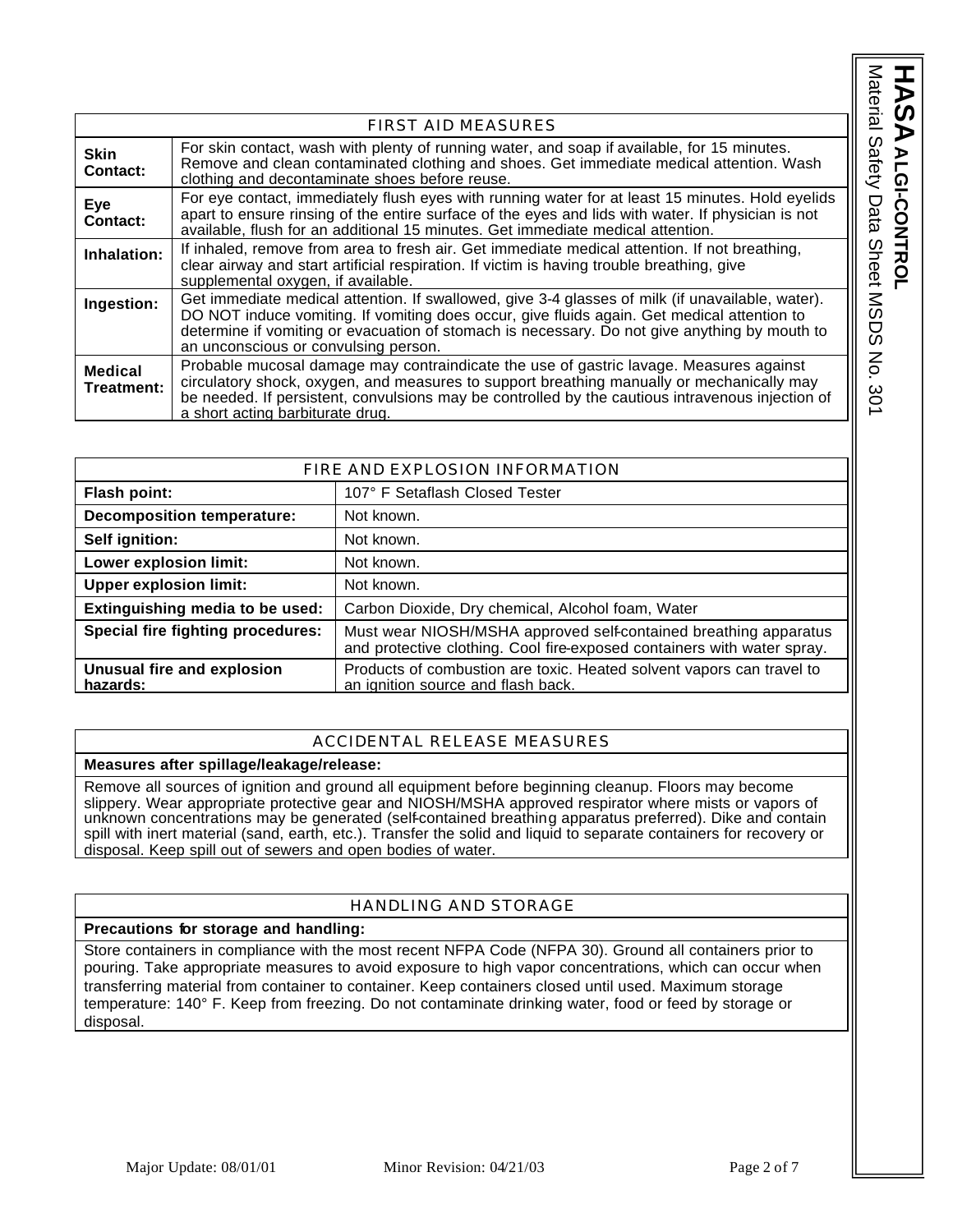Material Safety Data Sheet MSDS No. 301 **HASA** Material Safety Data Sheet MSDS No. 301 ALGI-CONTROL **ALGI-CONTROL**

|                              | <b>FIRST AID MEASURES</b>                                                                                                                                                                                                                                                                                                                |
|------------------------------|------------------------------------------------------------------------------------------------------------------------------------------------------------------------------------------------------------------------------------------------------------------------------------------------------------------------------------------|
| <b>Skin</b><br>Contact:      | For skin contact, wash with plenty of running water, and soap if available, for 15 minutes.<br>Remove and clean contaminated clothing and shoes. Get immediate medical attention. Wash<br>clothing and decontaminate shoes before reuse.                                                                                                 |
| Eye<br><b>Contact:</b>       | For eye contact, immediately flush eyes with running water for at least 15 minutes. Hold eyelids<br>apart to ensure rinsing of the entire surface of the eyes and lids with water. If physician is not<br>available, flush for an additional 15 minutes. Get immediate medical attention.                                                |
| Inhalation:                  | If inhaled, remove from area to fresh air. Get immediate medical attention. If not breathing,<br>clear airway and start artificial respiration. If victim is having trouble breathing, give<br>supplemental oxygen, if available.                                                                                                        |
| Ingestion:                   | Get immediate medical attention. If swallowed, give 3-4 glasses of milk (if unavailable, water).<br>DO NOT induce vomiting. If vomiting does occur, give fluids again. Get medical attention to<br>determine if vomiting or evacuation of stomach is necessary. Do not give anything by mouth to<br>an unconscious or convulsing person. |
| <b>Medical</b><br>Treatment: | Probable mucosal damage may contraindicate the use of gastric lavage. Measures against<br>circulatory shock, oxygen, and measures to support breathing manually or mechanically may<br>be needed. If persistent, convulsions may be controlled by the cautious intravenous injection of<br>a short acting barbiturate drug.              |

| FIRE AND EXPLOSION INFORMATION         |                                                                                                                                             |  |
|----------------------------------------|---------------------------------------------------------------------------------------------------------------------------------------------|--|
| Flash point:                           | 107° F Setaflash Closed Tester                                                                                                              |  |
| <b>Decomposition temperature:</b>      | Not known.                                                                                                                                  |  |
| Self ignition:                         | Not known.                                                                                                                                  |  |
| Lower explosion limit:                 | Not known.                                                                                                                                  |  |
| <b>Upper explosion limit:</b>          | Not known.                                                                                                                                  |  |
| Extinguishing media to be used:        | Carbon Dioxide, Dry chemical, Alcohol foam, Water                                                                                           |  |
| Special fire fighting procedures:      | Must wear NIOSH/MSHA approved self-contained breathing apparatus<br>and protective clothing. Cool fire-exposed containers with water spray. |  |
| Unusual fire and explosion<br>hazards: | Products of combustion are toxic. Heated solvent vapors can travel to<br>an ignition source and flash back.                                 |  |

## ACCIDENTAL RELEASE MEASURES

## **Measures after spillage/leakage/release:**

Remove all sources of ignition and ground all equipment before beginning cleanup. Floors may become slippery. Wear appropriate protective gear and NIOSH/MSHA approved respirator where mists or vapors of unknown concentrations may be generated (self-contained breathing apparatus preferred). Dike and contain spill with inert material (sand, earth, etc.). Transfer the solid and liquid to separate containers for recovery or disposal. Keep spill out of sewers and open bodies of water.

# HANDLING AND STORAGE

## **Precautions for storage and handling:**

Store containers in compliance with the most recent NFPA Code (NFPA 30). Ground all containers prior to pouring. Take appropriate measures to avoid exposure to high vapor concentrations, which can occur when transferring material from container to container. Keep containers closed until used. Maximum storage temperature: 140° F. Keep from freezing. Do not contaminate drinking water, food or feed by storage or disposal.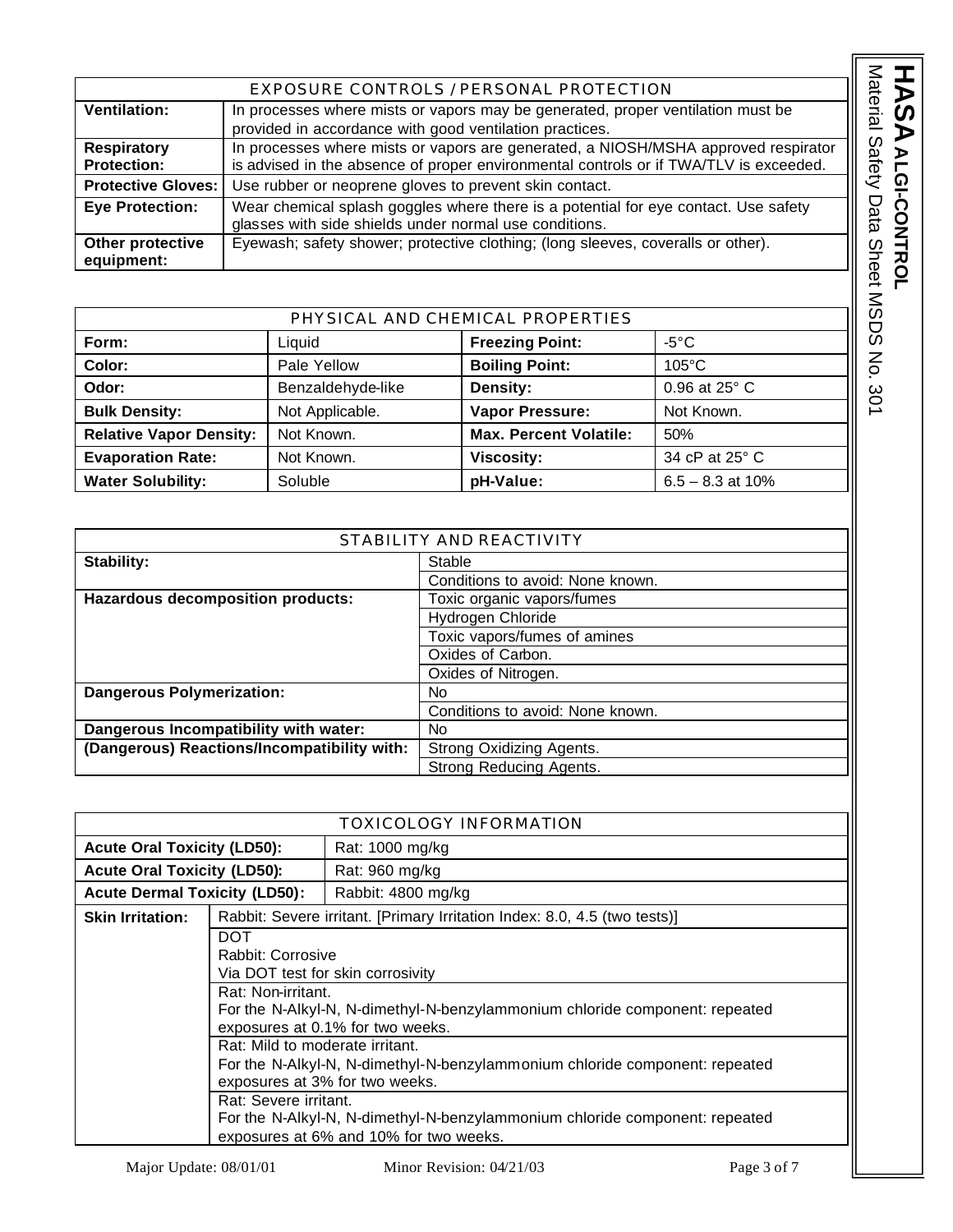|                           | EXPOSURE CONTROLS / PERSONAL PROTECTION                                               |
|---------------------------|---------------------------------------------------------------------------------------|
| <b>Ventilation:</b>       | In processes where mists or vapors may be generated, proper ventilation must be       |
|                           | provided in accordance with good ventilation practices.                               |
| <b>Respiratory</b>        | In processes where mists or vapors are generated, a NIOSH/MSHA approved respirator    |
| <b>Protection:</b>        | is advised in the absence of proper environmental controls or if TWA/TLV is exceeded. |
| <b>Protective Gloves:</b> | Use rubber or neoprene gloves to prevent skin contact.                                |
| <b>Eye Protection:</b>    | Wear chemical splash goggles where there is a potential for eye contact. Use safety   |
|                           | glasses with side shields under normal use conditions.                                |
| Other protective          | Eyewash; safety shower; protective clothing; (long sleeves, coveralls or other).      |
| equipment:                |                                                                                       |

| PHYSICAL AND CHEMICAL PROPERTIES |                   |                               |                    |
|----------------------------------|-------------------|-------------------------------|--------------------|
| Form:                            | Liquid            | <b>Freezing Point:</b>        | -5°C.              |
| Color:                           | Pale Yellow       | <b>Boiling Point:</b>         | $105^{\circ}$ C    |
| Odor:                            | Benzaldehyde-like | Density:                      | 0.96 at 25° C      |
| <b>Bulk Density:</b>             | Not Applicable.   | Vapor Pressure:               | Not Known.         |
| <b>Relative Vapor Density:</b>   | Not Known.        | <b>Max. Percent Volatile:</b> | 50%                |
| <b>Evaporation Rate:</b>         | Not Known.        | <b>Viscosity:</b>             | 34 cP at 25° C     |
| <b>Water Solubility:</b>         | Soluble           | pH-Value:                     | $6.5 - 8.3$ at 10% |

| STABILITY AND REACTIVITY                    |                                  |
|---------------------------------------------|----------------------------------|
| Stability:                                  | Stable                           |
|                                             | Conditions to avoid: None known. |
| Hazardous decomposition products:           | Toxic organic vapors/fumes       |
|                                             | Hydrogen Chloride                |
|                                             | Toxic vapors/fumes of amines     |
|                                             | Oxides of Carbon.                |
|                                             | Oxides of Nitrogen.              |
| <b>Dangerous Polymerization:</b>            | No                               |
|                                             | Conditions to avoid: None known. |
| Dangerous Incompatibility with water:       | No.                              |
| (Dangerous) Reactions/Incompatibility with: | Strong Oxidizing Agents.         |
|                                             | Strong Reducing Agents.          |

|                                      |                                                                                                                   | TOXICOLOGY INFORMATION                                                                                                                                                                                                                                                                                                                                                                         |
|--------------------------------------|-------------------------------------------------------------------------------------------------------------------|------------------------------------------------------------------------------------------------------------------------------------------------------------------------------------------------------------------------------------------------------------------------------------------------------------------------------------------------------------------------------------------------|
| <b>Acute Oral Toxicity (LD50):</b>   |                                                                                                                   | Rat: 1000 mg/kg                                                                                                                                                                                                                                                                                                                                                                                |
| <b>Acute Oral Toxicity (LD50):</b>   |                                                                                                                   | Rat: 960 mg/kg                                                                                                                                                                                                                                                                                                                                                                                 |
| <b>Acute Dermal Toxicity (LD50):</b> |                                                                                                                   | Rabbit: 4800 mg/kg                                                                                                                                                                                                                                                                                                                                                                             |
| <b>Skin Irritation:</b>              |                                                                                                                   | Rabbit: Severe irritant. [Primary Irritation Index: 8.0, 4.5 (two tests)]                                                                                                                                                                                                                                                                                                                      |
|                                      | <b>DOT</b><br>Rabbit: Corrosive<br>Rat: Non-irritant.<br>Rat: Mild to moderate irritant.<br>Rat: Severe irritant. | Via DOT test for skin corrosivity<br>For the N-Alkyl-N, N-dimethyl-N-benzylammonium chloride component: repeated<br>exposures at 0.1% for two weeks.<br>For the N-Alkyl-N, N-dimethyl-N-benzylammonium chloride component: repeated<br>exposures at 3% for two weeks.<br>For the N-Alkyl-N, N-dimethyl-N-benzylammonium chloride component: repeated<br>exposures at 6% and 10% for two weeks. |

HASA ALGI-CONTROL

**ALGI-CONTROL**

Material Safety Data Sheet MSDS No. 301

Material Safety Data Sheet MSDS No. 301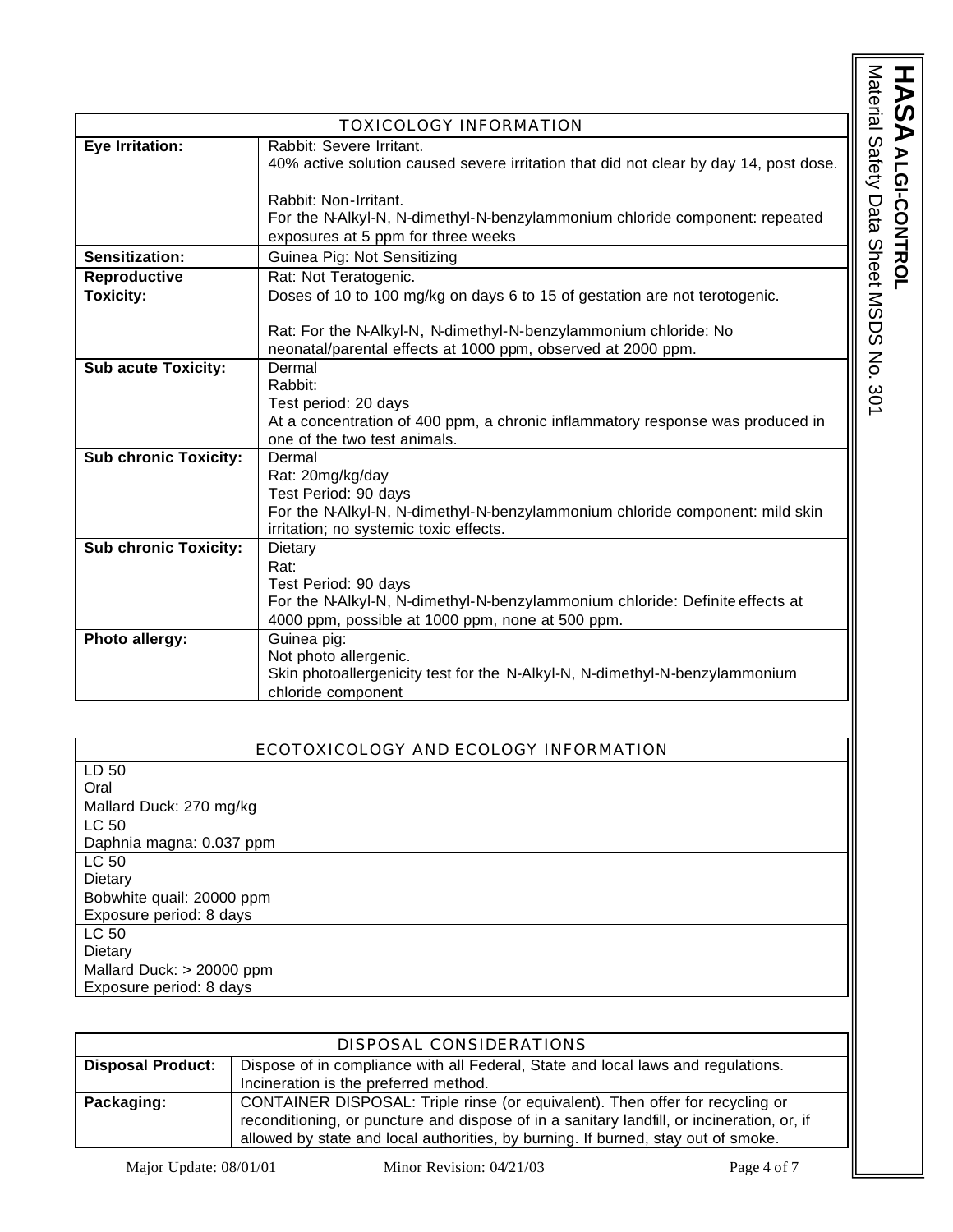Material Safety Data Sheet MSDS No. 301 HASA ALGI-CONTROL Material Safety Data Sheet MSDS No. 301 **ALGI-CONTROL**

|                              | <b>TOXICOLOGY INFORMATION</b>                                                         |
|------------------------------|---------------------------------------------------------------------------------------|
| Eye Irritation:              | Rabbit: Severe Irritant.                                                              |
|                              | 40% active solution caused severe irritation that did not clear by day 14, post dose. |
|                              |                                                                                       |
|                              | Rabbit: Non-Irritant.                                                                 |
|                              | For the N-Alkyl-N, N-dimethyl-N-benzylammonium chloride component: repeated           |
|                              | exposures at 5 ppm for three weeks                                                    |
| Sensitization:               | Guinea Pig: Not Sensitizing                                                           |
| Reproductive                 | Rat: Not Teratogenic.                                                                 |
| <b>Toxicity:</b>             | Doses of 10 to 100 mg/kg on days 6 to 15 of gestation are not terotogenic.            |
|                              |                                                                                       |
|                              | Rat: For the N-Alkyl-N, N-dimethyl-N-benzylammonium chloride: No                      |
|                              | neonatal/parental effects at 1000 ppm, observed at 2000 ppm.                          |
| <b>Sub acute Toxicity:</b>   | Dermal                                                                                |
|                              | Rabbit:                                                                               |
|                              | Test period: 20 days                                                                  |
|                              | At a concentration of 400 ppm, a chronic inflammatory response was produced in        |
|                              | one of the two test animals.                                                          |
| <b>Sub chronic Toxicity:</b> | Dermal                                                                                |
|                              | Rat: 20mg/kg/day                                                                      |
|                              | Test Period: 90 days                                                                  |
|                              | For the N-Alkyl-N, N-dimethyl-N-benzylammonium chloride component: mild skin          |
|                              | irritation; no systemic toxic effects.                                                |
| <b>Sub chronic Toxicity:</b> | Dietary                                                                               |
|                              | Rat:                                                                                  |
|                              | Test Period: 90 days                                                                  |
|                              | For the N-Alkyl-N, N-dimethyl-N-benzylammonium chloride: Definite effects at          |
| Photo allergy:               | 4000 ppm, possible at 1000 ppm, none at 500 ppm.<br>Guinea pig:                       |
|                              | Not photo allergenic.                                                                 |
|                              | Skin photoallergenicity test for the N-Alkyl-N, N-dimethyl-N-benzylammonium           |
|                              | chloride component                                                                    |
|                              |                                                                                       |

| ECOTOXICOLOGY AND ECOLOGY INFORMATION |
|---------------------------------------|
| LD 50                                 |
| Oral                                  |
| Mallard Duck: 270 mg/kg               |
| LC 50                                 |
| Daphnia magna: 0.037 ppm              |
| LC 50                                 |
| Dietary                               |
| Bobwhite quail: 20000 ppm             |
| Exposure period: 8 days               |
| LC 50                                 |
| Dietary                               |
| Mallard Duck: > 20000 ppm             |
| Exposure period: 8 days               |

|                          | DISPOSAL CONSIDERATIONS                                                                    |
|--------------------------|--------------------------------------------------------------------------------------------|
| <b>Disposal Product:</b> | Dispose of in compliance with all Federal, State and local laws and regulations.           |
|                          | Incineration is the preferred method.                                                      |
| Packaging:               | CONTAINER DISPOSAL: Triple rinse (or equivalent). Then offer for recycling or              |
|                          | reconditioning, or puncture and dispose of in a sanitary landfill, or incineration, or, if |
|                          | allowed by state and local authorities, by burning. If burned, stay out of smoke.          |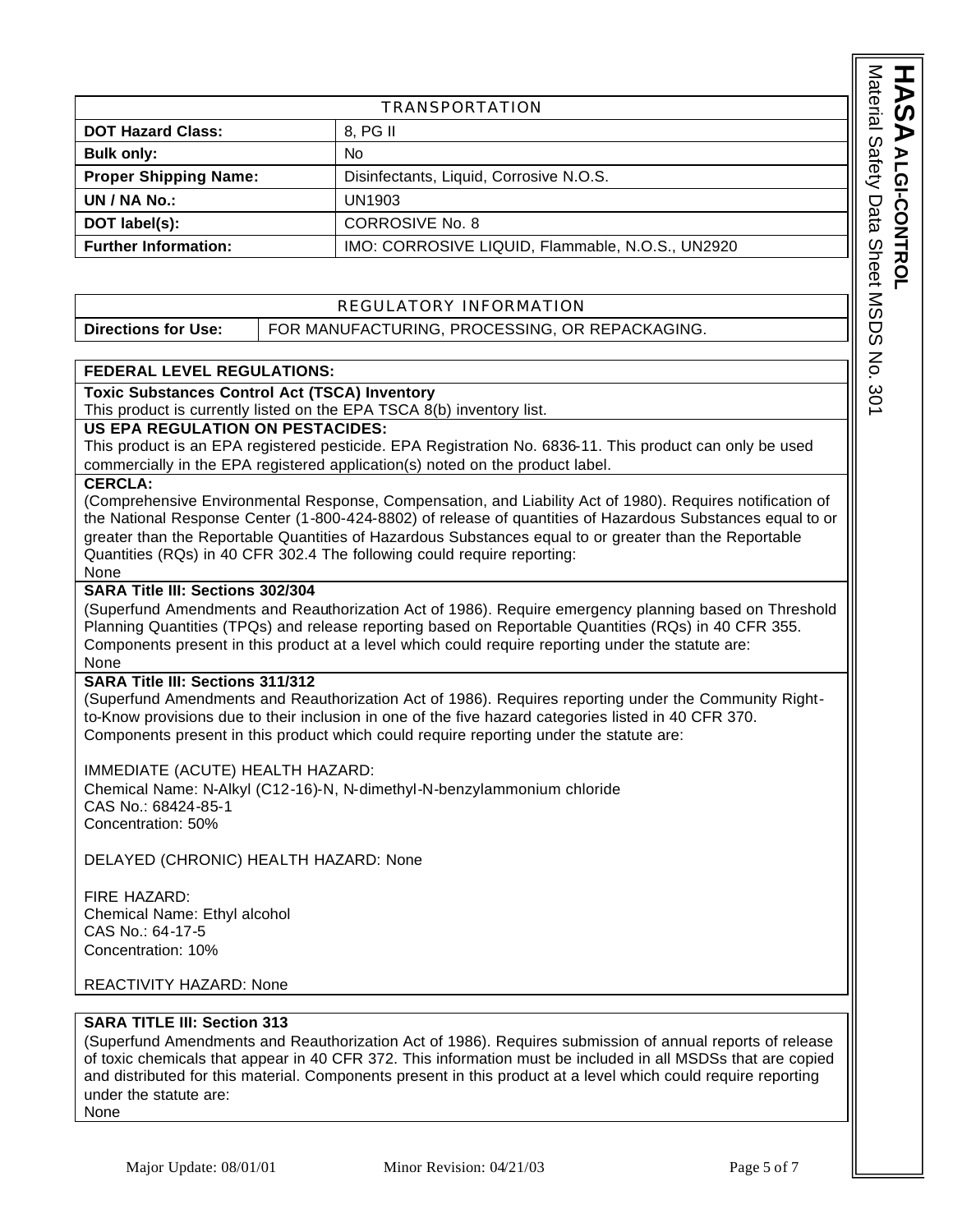|                                                                                 |                                                                                                                              | Material     |  |
|---------------------------------------------------------------------------------|------------------------------------------------------------------------------------------------------------------------------|--------------|--|
|                                                                                 | TRANSPORTATION                                                                                                               |              |  |
| <b>DOT Hazard Class:</b>                                                        | 8, PG II                                                                                                                     |              |  |
| <b>Bulk only:</b>                                                               | No.                                                                                                                          |              |  |
| <b>Proper Shipping Name:</b>                                                    | Disinfectants, Liquid, Corrosive N.O.S.                                                                                      | Safety       |  |
| UN / NA No.:                                                                    | UN1903                                                                                                                       |              |  |
| DOT label(s):                                                                   | <b>CORROSIVE No. 8</b>                                                                                                       | Data         |  |
| <b>Further Information:</b><br>IMO: CORROSIVE LIQUID, Flammable, N.O.S., UN2920 |                                                                                                                              |              |  |
|                                                                                 |                                                                                                                              | <b>Sheet</b> |  |
| REGULATORY INFORMATION                                                          |                                                                                                                              | <b>NSDS</b>  |  |
| <b>Directions for Use:</b><br>FOR MANUFACTURING, PROCESSING, OR REPACKAGING.    |                                                                                                                              |              |  |
|                                                                                 |                                                                                                                              |              |  |
| <b>FEDERAL LEVEL REGULATIONS:</b>                                               |                                                                                                                              | 종            |  |
|                                                                                 | <b>Toxic Substances Control Act (TSCA) Inventory</b><br>This product is currently listed on the FPA TSCA 8(b) inventory list |              |  |

# REGULATORY INFORMATION

| Directions for Use: | FOR MANUFACTURING, PROCESSING, OR REPACKAGING. |
|---------------------|------------------------------------------------|
|---------------------|------------------------------------------------|

#### **FEDERAL LEVEL REGULATIONS:**

#### **Toxic Substances Control Act (TSCA) Inventory**

This product is currently listed on the EPA TSCA 8(b) inventory list.

## **US EPA REGULATION ON PESTACIDES:**

This product is an EPA registered pesticide. EPA Registration No. 6836-11. This product can only be used commercially in the EPA registered application(s) noted on the product label.

#### **CERCLA:**

(Comprehensive Environmental Response, Compensation, and Liability Act of 1980). Requires notification of the National Response Center (1-800-424-8802) of release of quantities of Hazardous Substances equal to or greater than the Reportable Quantities of Hazardous Substances equal to or greater than the Reportable Quantities (RQs) in 40 CFR 302.4 The following could require reporting: None

#### **SARA Title III: Sections 302/304**

(Superfund Amendments and Reauthorization Act of 1986). Require emergency planning based on Threshold Planning Quantities (TPQs) and release reporting based on Reportable Quantities (RQs) in 40 CFR 355. Components present in this product at a level which could require reporting under the statute are: None

#### **SARA Title III: Sections 311/312**

(Superfund Amendments and Reauthorization Act of 1986). Requires reporting under the Community Rightto-Know provisions due to their inclusion in one of the five hazard categories listed in 40 CFR 370. Components present in this product which could require reporting under the statute are:

IMMEDIATE (ACUTE) HEALTH HAZARD: Chemical Name: N-Alkyl (C12-16)-N, N-dimethyl-N-benzylammonium chloride CAS No.: 68424-85-1 Concentration: 50%

DELAYED (CHRONIC) HEALTH HAZARD: None

FIRE HAZARD: Chemical Name: Ethyl alcohol CAS No.: 64-17-5 Concentration: 10%

REACTIVITY HAZARD: None

### **SARA TITLE III: Section 313**

(Superfund Amendments and Reauthorization Act of 1986). Requires submission of annual reports of release of toxic chemicals that appear in 40 CFR 372. This information must be included in all MSDSs that are copied and distributed for this material. Components present in this product at a level which could require reporting under the statute are:

None

**SAALGI-CONTROL ALGI-CONTROL**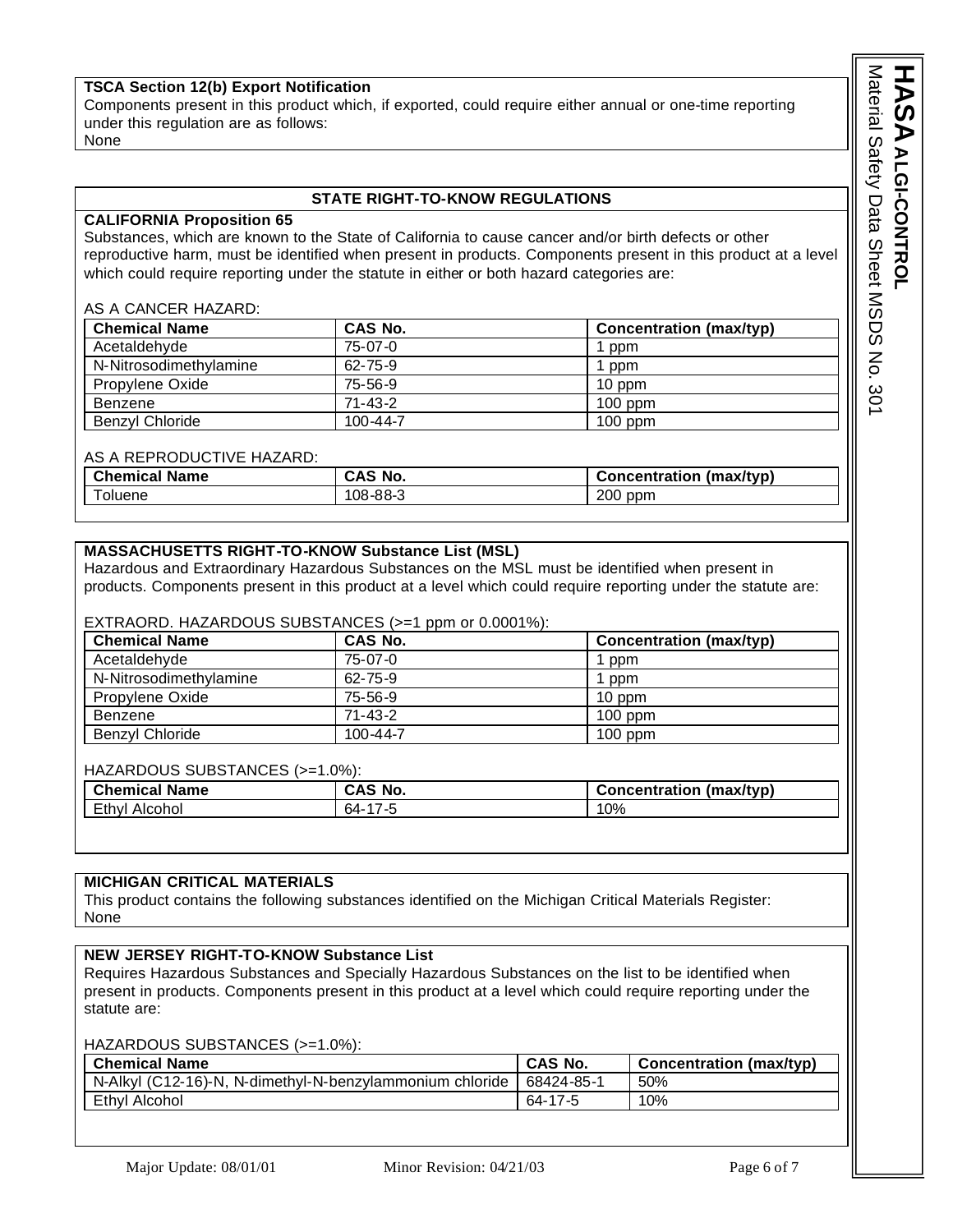# **TSCA Section 12(b) Export Notification**

Components present in this product which, if exported, could require either annual or one-time reporting under this regulation are as follows:

None

#### **STATE RIGHT-TO-KNOW REGULATIONS**

#### **CALIFORNIA Proposition 65**

Substances, which are known to the State of California to cause cancer and/or birth defects or other reproductive harm, must be identified when present in products. Components present in this product at a level which could require reporting under the statute in either or both hazard categories are:

#### AS A CANCER HAZARD:

| <b>Chemical Name</b>   | CAS No.        | <b>Concentration (max/typ)</b> |
|------------------------|----------------|--------------------------------|
| Acetaldehyde           | $75-07-0$      | ppm                            |
| N-Nitrosodimethylamine | $62 - 75 - 9$  | ppm                            |
| Propylene Oxide        | 75-56-9        | 10 ppm                         |
| Benzene                | $71 - 43 - 2$  | $100$ ppm                      |
| Benzyl Chloride        | $100 - 44 - 7$ | $100$ ppm                      |

#### AS A REPRODUCTIVE HAZARD:

| <b>Chemical</b> | No.                             | $.$ Oncentration |
|-----------------|---------------------------------|------------------|
| <b>Name</b>     | CAS                             | (max/tvp)        |
| oluene          | ററ<br>$\sqrt{2}$<br>08.<br>-00- | $200$ ppm        |

#### **MASSACHUSETTS RIGHT-TO-KNOW Substance List (MSL)**

Hazardous and Extraordinary Hazardous Substances on the MSL must be identified when present in products. Components present in this product at a level which could require reporting under the statute are:

#### EXTRAORD. HAZARDOUS SUBSTANCES (>=1 ppm or 0.0001%):

| <b>Chemical Name</b>   | CAS No.        | <b>Concentration (max/typ)</b> |
|------------------------|----------------|--------------------------------|
| Acetaldehyde           | 75-07-0        | ppm                            |
| N-Nitrosodimethylamine | $62 - 75 - 9$  | ppm                            |
| Propylene Oxide        | 75-56-9        | 10 ppm                         |
| Benzene                | $71 - 43 - 2$  | $100$ ppm                      |
| <b>Benzyl Chloride</b> | $100 - 44 - 7$ | $100$ ppm                      |

#### HAZARDOUS SUBSTANCES (>=1.0%):

| <b>Chemical Name</b> | CAS No. | (max/tvp)<br><b>Concentration</b> |
|----------------------|---------|-----------------------------------|
| Ethvl<br>Alcohol:    | 64-     | 10%                               |

#### **MICHIGAN CRITICAL MATERIALS**

This product contains the following substances identified on the Michigan Critical Materials Register: None

## **NEW JERSEY RIGHT-TO-KNOW Substance List**

Requires Hazardous Substances and Specially Hazardous Substances on the list to be identified when present in products. Components present in this product at a level which could require reporting under the statute are:

# HAZARDOUS SUBSTANCES (>=1.0%):

| <b>Chemical Name</b>                                     | <b>CAS No.</b> | <b>Concentration (max/typ)</b> |
|----------------------------------------------------------|----------------|--------------------------------|
| N-Alkyl (C12-16)-N, N-dimethyl-N-benzylammonium chloride | 68424-85-1     | 50%                            |
| Ethyl Alcohol                                            | 64-17-5        | 10%                            |